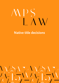# **Native title decisions**

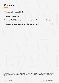#### **Contents**

| What is a native title decision?                                            |  |
|-----------------------------------------------------------------------------|--|
| What is the bottom line?                                                    |  |
| How does the PBC consult with and obtain consent from native title holders? |  |
| What is the standard consultation and consent process?                      |  |

This document is intended as a guide only. This does not constitute legal advice. There may be additional and important considerations that should be taken into account in your specific circumstances. If you or your organisation has a legal issue, you should obtain professional advice from a legal practitioner.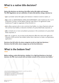## **What is a native title decision?**

**Native title decisions are decisions that affect native title rights and interests. The PBC Regulations set out a definition of native title decision, being a decision to:**

- **(a)** to surrender native title rights and interests in relation to land or waters; or
- **(b)** to enter an INDIGENOUS LAND USE AGREEMENT under Subdivision B, C or D of Division 3 of Part 2 of the Native Title Act 1993 (Cth) or an agreement under Subdivision P (right to negotiate) of that Division; or
- **(c)** to allow a person who is not a common law holder, or a class of persons who are not common law holders, to become members of a prescribed body corporate; or
- **(d)** to include one or more consultation processes in the constitution of a prescribed body corporate; or
- **(e)** to do, or agree to, any act that would otherwise affect the native title rights and interests of the common law holders (other than a decision to make a compensation application. **1**

**Decisions that fall within the above categories (a)-(d) are high level decisions. 2 Decisions that fall within above category (e) are low level decisions. 3**

### **What is the bottom line?**

**Before making a native title decision, whether it is a high level decision or low level decision, the PBC must consult with and obtain consent of the common law holders. 4**

1. Native Title (Prescribed Bodies Corporate) Regulations 1999 (Cth) reg 3 (definition

of 'native title decision') (PBC Regulations).

<sup>2.</sup> PBC Regulations reg 3 (definition of 'high level decision').

<sup>3.</sup> PBC Regulations reg 3 (definition of 'low level decision')

<sup>4.</sup> PBC Regulation sub-reg 8(2) and 8A.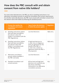## **How does the PBC consult with and obtain consent from native title holders?**

For some native title decisions, the PBC can rely on standing instructions or an alternative consultation process to satisfy the consultation and consent requirements. For all other native title decisions, the PBC must consult with and obtain consent from the relevant native title holders by following the standard process.

|              | <b>Process that satisfies the</b><br>consultation and consent<br>requirement                                                                  | Type of native title decisions<br>to which the process applies                                                                                                                                 | <b>Regulation</b> |
|--------------|-----------------------------------------------------------------------------------------------------------------------------------------------|------------------------------------------------------------------------------------------------------------------------------------------------------------------------------------------------|-------------------|
| a)           | Standing instructions (where<br>they have been provided by<br>the relevant native title<br>holders in accordance with the<br>PBC Regulations) | Low level decisions                                                                                                                                                                            | $8(8)$ and 3      |
| b)           | Standing instructions (where<br>they have been provided by<br>the relevant native title<br>holders in accordance with<br>the PBC Regulations) | A high level decision to:<br>1. enter into an indigenous<br>land use agreement for the<br>benefit of the PBC; or<br>2. enter into a section 31<br>agreement where the PBC is<br>the proponent. | $8(8)$ and 3      |
| $\mathsf{C}$ | Alternative consultation<br>process (where available in<br>the PBC rule book)                                                                 | Low level decisions                                                                                                                                                                            | 8A                |
| $\mathsf{d}$ | Standard consultation and<br>consent process                                                                                                  | All low level and high-level<br>decisions not covered by (a),<br>(b) and (c) (standing<br>instructions or an alternative<br>consultation process).                                             | 8(1)              |